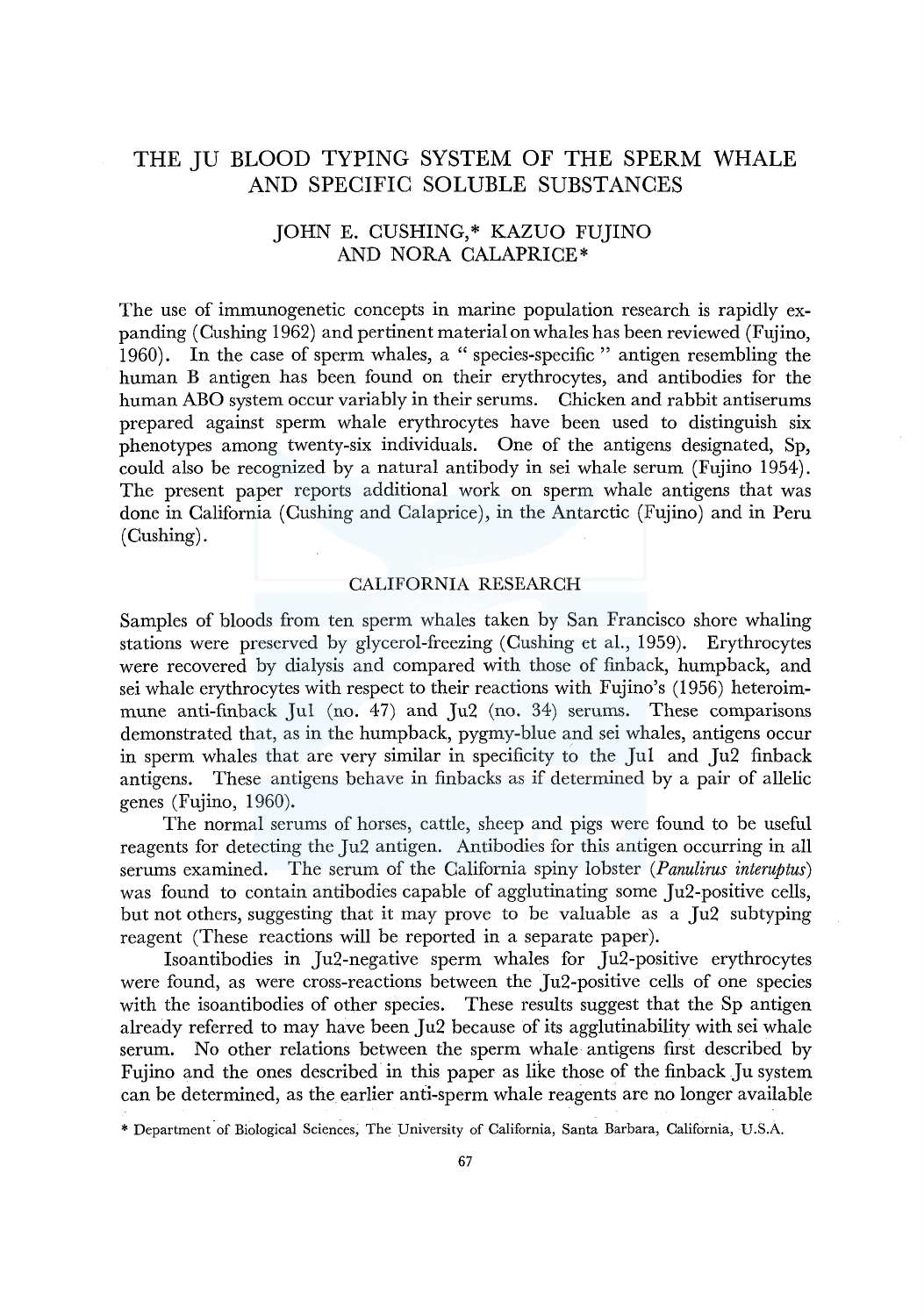# THE JU BLOOD TYPING SYSTEM OF THE SPERM WHALE AND SPECIFIC SOLUBLE SUBSTANCES

# JOHN E. CUSHING,\* KAZUO FUJINO AND NORA CALAPRICE\*

The use of immunogenetic concepts in marine population research is rapidly expanding (Cushing 1962) and pertinent material on whales has been reviewed (Fujino, 1960). In the case of sperm whales, a "species-specific" antigen resembling the human B antigen has been found on their erythrocytes, and antibodies for the human ABO system occur variably in their serums. Chicken and rabbit antiserums prepared against sperm whale erythrocytes have been used to distinguish six phenotypes among twenty-six individuals. One of the antigens designated, Sp, could also be recognized by a natural antibody in sei whale serum (Fujino 1954). The present paper reports additional work on sperm whale antigens that was done in California (Cushing and Calaprice), in the Antarctic (Fujino) and in Peru (Cushing).

### CALIFORNIA RESEARCH

Samples of bloods from ten sperm whales taken by San Francisco shore whaling stations were preserved by glycerol-freezing (Cushing et al., 1959). Erythrocytes were recovered by dialysis and compared with those of finback, humpback, and sei whale erythrocytes with respect to their reactions with Fujino's (1956) heteroimmune anti-finback Jul (no. 47) and Ju2 (no. 34) serums. These comparisons demonstrated that, as in the humpback, pygmy-blue and sei whales, antigens occur in sperm whales that are very similar in specificity to the Jul and Ju2 finback antigens. These antigens behave in finbacks as if determined by a pair of allelic genes (Fujino, 1960).

The normal serums of horses, cattle, sheep and pigs were found to be useful reagents for detecting the Ju2 antigen. Antibodies for this antigen occurring in all serums examined. The serum of the California spiny lobster *(Panulirus interuptus)*  was found to contain antibodies capable of agglutinating some Ju2-positive cells, but not others, suggesting that it may prove to be valuable as a Ju2 subtyping reagent (These reactions will be reported in a separate paper).

Isoantibodies in Ju2-negative sperm whales for Ju2-positive erythrocytes were found, as were cross-reactions between the Ju2-positive cells of one species with the isoantibodies of other species. These results suggest that the Sp antigen already referred to may have been Ju2 because of its agglutinability with sei whale serum. No other relations between the sperm whale antigens first described by Fujino and the ones described in this paper as like those of the finback Ju system can be determined, as the earlier and-sperm whale reagents are no longer available

\* Department of Biological Sciences, The University of California, Santa Barbara, California, U.S.A.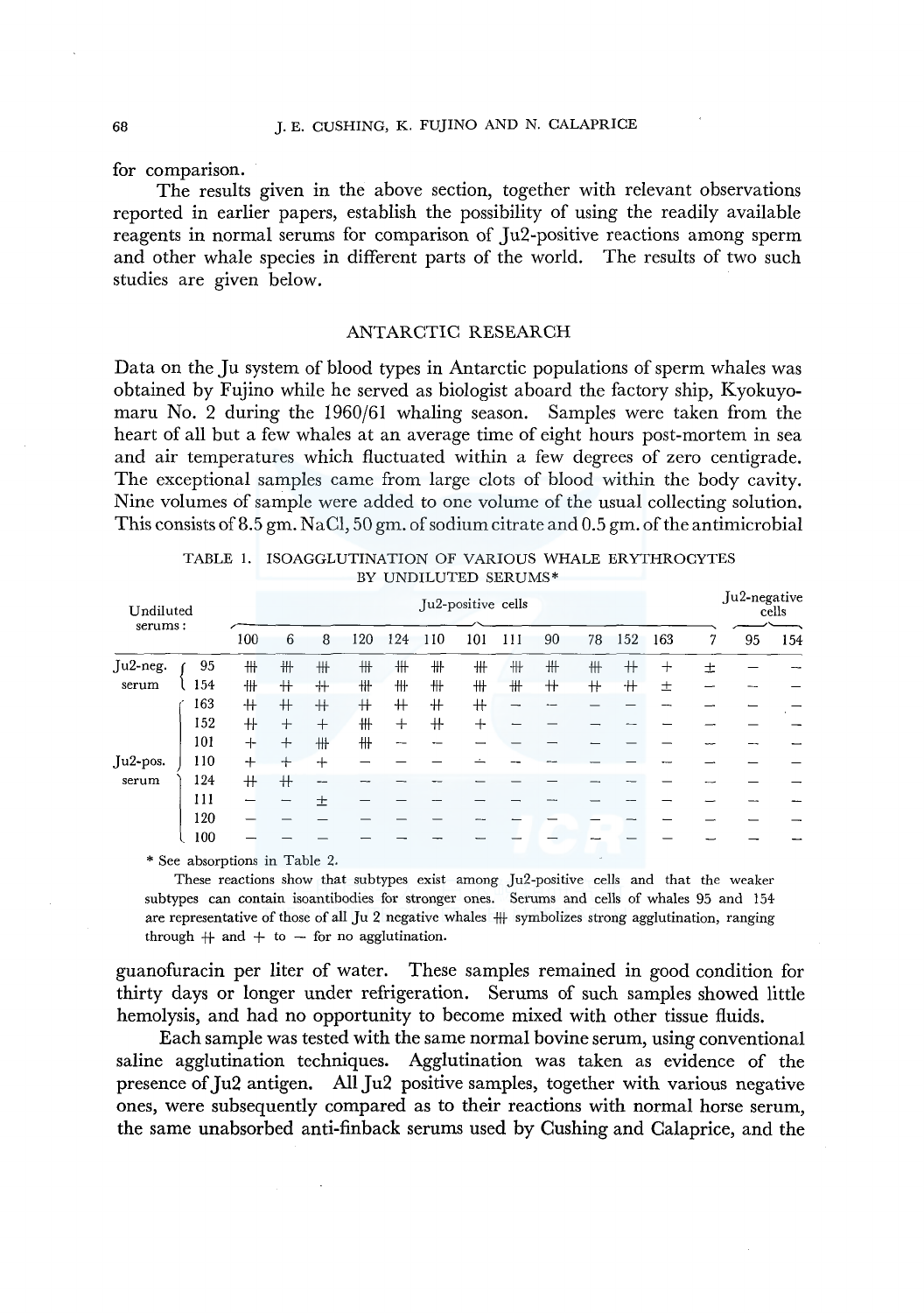for comparison.

The results given in the above section, together with relevant observations reported in earlier papers, establish the possibility of using the readily available reagents in normal serums for comparison of Ju2-positive reactions among sperm and other whale species in different parts of the world. The results of two such studies are given below.

### ANTARCTIC RESEARCH

Data on the Ju system of blood types in Antarctic populations of sperm whales was obtained by Fujino while he served as biologist aboard the factory ship, Kyokuyomaru No. 2 during the 1960/61 whaling season. Samples were taken from the heart of all but a few whales at an average time of eight hours post-mortem in sea and air temperatures which fluctuated within a few degrees of zero centigrade. The exceptional samples came from large clots of blood within the body cavity. Nine volumes of sample were added to one volume of the usual collecting solution. This consists of 8.5 gm. NaCl, 50 gm. of sodium citrate and 0.5 gm. of the antimicrobial

| Undiluted<br>serums: |                                       |     |        |        |      |        |     | Ju2-positive cells |     |      |     |            |       |   | Ju2-negative | cells |
|----------------------|---------------------------------------|-----|--------|--------|------|--------|-----|--------------------|-----|------|-----|------------|-------|---|--------------|-------|
|                      |                                       | 100 | 6      | 8      | 120  | 124    | 110 | 101                | 111 | 90   | 78  | 152        | 163   | 7 | 95           | 154   |
| Ju2-neg.             | 95                                    | #   | 卌      | #      | ₩    | ₩      | ╫   | ₩                  | ╫   | ₩    | ╫   | $^{\rm +}$ | $\pm$ | 士 |              |       |
| serum                | 154                                   | 卌   | $^+$   | $+$    | ₩    | 卌      | ╫   | ₩                  | #   | $^+$ | $+$ | $^+$       | 土     |   |              |       |
|                      | 163                                   | $+$ | $+$    | $^+$   | $^+$ | $^+$   | $+$ | $+$                |     |      |     |            |       |   |              |       |
|                      | 152                                   | $+$ | $^{+}$ | $^{+}$ | ₩    | $^{+}$ | $+$ | $+$                |     |      |     |            |       |   |              |       |
|                      | 101                                   | $+$ | $+$    | #      | ╫    |        |     |                    |     |      |     |            |       |   |              |       |
| Ju2-pos.             | 110                                   | $+$ | ┿      | $+$    |      |        |     |                    |     |      |     |            |       |   |              |       |
| serum                | 124                                   | $+$ | $+$    | --     |      |        |     |                    |     |      |     |            |       |   |              |       |
|                      | 111                                   |     |        | 士      |      |        |     |                    |     |      |     |            |       |   |              |       |
|                      | 120                                   |     |        |        |      |        |     |                    |     |      |     |            |       |   |              |       |
|                      | 100                                   |     |        |        |      |        |     |                    |     |      |     |            |       |   |              |       |
|                      | $*$ $\Omega$ go absounting in Table 9 |     |        |        |      |        |     |                    |     |      |     |            |       |   |              |       |

| TABLE 1. ISOAGGLUTINATION OF VARIOUS WHALE ERYTHROCYTES |                      |  |  |  |  |  |  |  |  |  |  |
|---------------------------------------------------------|----------------------|--|--|--|--|--|--|--|--|--|--|
|                                                         | BY UNDILUTED SERUMS* |  |  |  |  |  |  |  |  |  |  |

\* See absorptions in Table 2.

These reactions show that subtypes exist among Ju2-positive cells and that the weaker subtypes can contain isoantibodies for stronger ones. Serums and cells of whales 95 and 154 are representative of those of all  $Ju$  2 negative whales  $\#$  symbolizes strong agglutination, ranging through  $+$  and  $+$  to  $-$  for no agglutination.

guanofuracin per liter of water. These samples remained in good condition for thirty days or longer under refrigeration. Serums of such samples showed little hemolysis, and had no opportunity to become mixed with other tissue fluids.

Each sample was tested with the same normal bovine serum, using conventional saline agglutination techniques. Agglutination was taken as evidence of the presence of Ju2 antigen. All Ju2 positive samples, together with various negative ones, were subsequently compared as to their reactions with normal horse serum, the same unabsorbed anti-finback serums used by Cushing and Calaprice, and the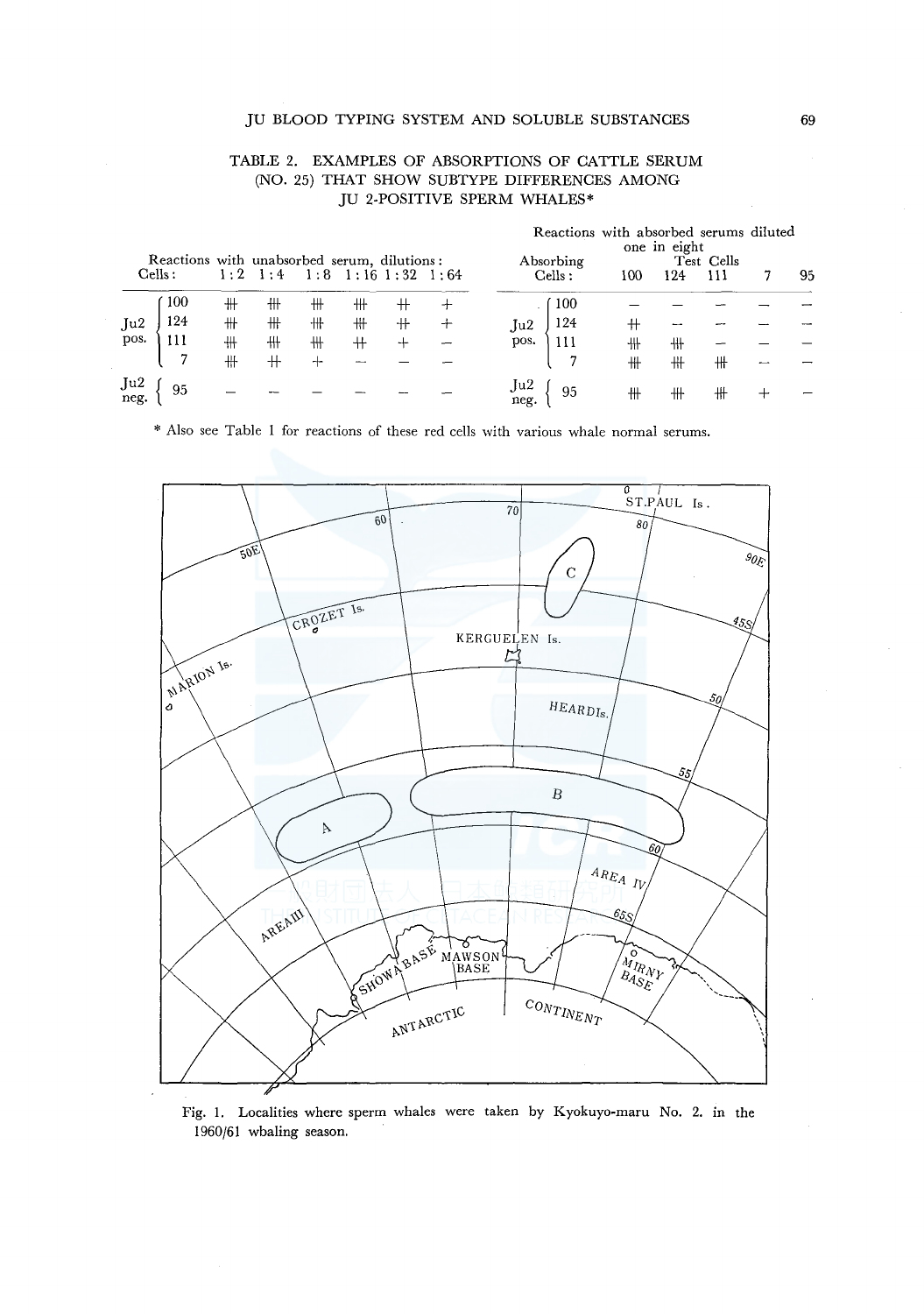### JU BLOOD TYPING SYSTEM AND SOLUBLE SUBSTANCES

### TABLE 2. EXAMPLES OF ABSORPTIONS OF CATTLE SERUM (NO. 25) THAT SHOW SUBTYPE DIFFERENCES AMONG JU 2-POSITIVE SPERM WHALES\*

|             | Reactions with unabsorbed serum, dilutions:<br>Cells : | 1:2 | 1:4 |   | $1:8$ 1:16 1:32 1:64 |   |   |             | Absorbing<br>Cells : | Reactions with absorbed serums diluted<br>100 | one in eight<br>124 | Test Cells<br>111 | 95 |
|-------------|--------------------------------------------------------|-----|-----|---|----------------------|---|---|-------------|----------------------|-----------------------------------------------|---------------------|-------------------|----|
|             | 100                                                    | ╫   | ╫   | ╫ | ╫                    |   | 十 |             | 100                  |                                               |                     |                   |    |
| Ju2         | 124                                                    | ╫   | ╫   | ╫ | ₩                    | ╫ |   | Ju2.        | 124                  | ╫                                             |                     |                   |    |
| pos.        | 111                                                    | ╫   | ╫   | ₩ | +                    | ⊷ |   | pos.        | 111                  | 卅                                             | ╫                   |                   |    |
|             |                                                        | 卄   | $+$ | ≁ | --                   |   |   |             |                      | ₩                                             | #                   | ╫                 |    |
| Ju2<br>neg. | 95                                                     |     |     |   |                      |   |   | Ju2<br>neg. | 95                   | ╫                                             | ╫                   | ╫                 |    |

\* Also see Table 1 for reactions of these red cells with various whale normal serums.



Fig. 1. Localities where sperm whales were taken by Kyokuyo-maru No. 2. in the 1960/61 whaling season.

69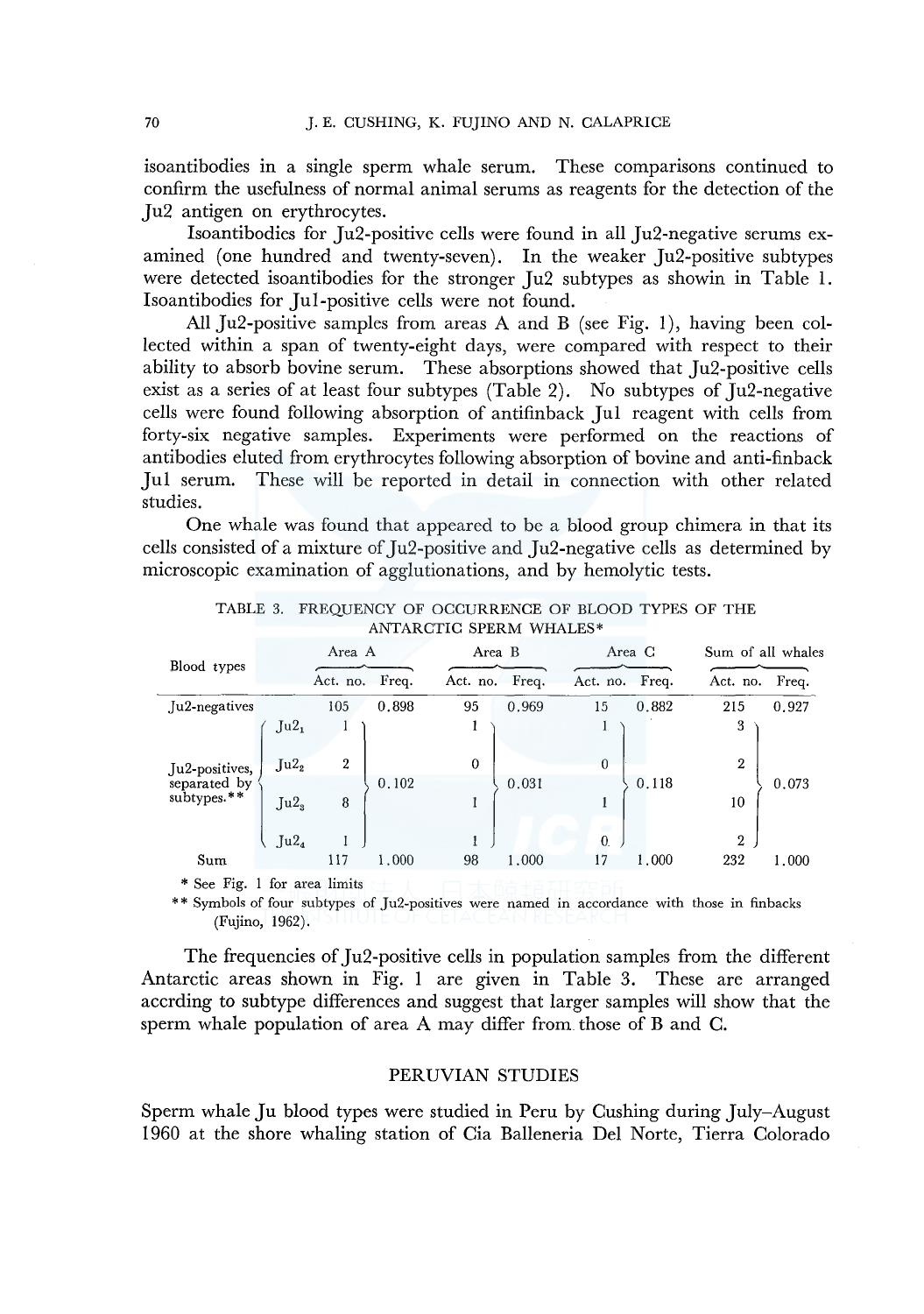isoantibodies in a single sperm whale serum. These comparisons continued to confirm the usefulness of normal animal serums as reagents for the detection of the Ju2 antigen on erythrocytes.

Isoantibodies for Ju2-positive cells were found in all Ju2-negative serums examined (one hundred and twenty-seven). In the weaker Ju2-positive subtypes were detected isoantibodies for the stronger Ju2 subtypes as showin in Table 1. Isoantibodies for Jul-positive cells were not found.

All Ju2-positive samples from areas A and B (see Fig. 1), having been collected within a span of twenty-eight days, were compared with respect to their ability to absorb bovine serum. These absorptions showed that Ju2-positive cells exist as a series of at least four subtypes (Table 2). No subtypes of Ju2-negative cells were found following absorption of antifinback Jul reagent with cells from forty-six negative samples. Experiments were performed on the reactions of antibodies eluted from erythrocytes following absorption of bovine and anti-finback Jul serum. These will be reported in detail in connection with other related studies.

One whale was found that appeared to be a blood group chimera in that its cells consisted of a mixture of Ju2-positive and Ju2-negative cells as determined by microscopic examination of agglutionations, and by hemolytic tests.

| TABLE 3.                    |                  |                |       | ANTARCTIC SPERM WHALES* |        |                |        | FREQUENCY OF OCCURRENCE OF BLOOD TYPES OF THE |                   |  |  |
|-----------------------------|------------------|----------------|-------|-------------------------|--------|----------------|--------|-----------------------------------------------|-------------------|--|--|
| Blood types                 |                  | Area A         |       |                         | Area B |                | Area C |                                               | Sum of all whales |  |  |
|                             |                  | Act. no.       | Freq. | Act. no.                | Freq.  | Act. no. Freq. |        | Act. no. Freq.                                |                   |  |  |
| Ju2-negatives               |                  | 105            | 0.898 | 95                      | 0.969  | 15             | 0.882  | 215                                           | 0.927             |  |  |
|                             | Ju2 <sub>1</sub> |                |       |                         |        | -1             |        | 3                                             |                   |  |  |
| Ju2-positives,              | Ju2 <sub>2</sub> | $\overline{2}$ |       | $\Omega$                |        | $\Omega$       |        | $\overline{2}$                                |                   |  |  |
| separated by<br>subtypes.** |                  |                | 0.102 |                         | 0.031  |                | 0.118  |                                               | 0.073             |  |  |
|                             | Ju2 <sub>3</sub> | 8              |       |                         |        |                |        | 10                                            |                   |  |  |
|                             |                  |                |       |                         |        |                |        |                                               |                   |  |  |
|                             | Ju2 <sub>4</sub> |                |       |                         |        | $\mathbf{0}$   |        | 2                                             |                   |  |  |
| Sum                         |                  | 117            | 1.000 | 98                      | 1.000  | 17             | 1.000  | 232                                           | 1,000             |  |  |

ANTARCTIC SPERM WHALES\*

\* See Fig. I for area limits

\* \* Symbols of four subtypes of Ju2-positives were named in accordance with those in finbacks (Fujino, 1962).

The frequencies of Ju2-positive cells in population samples from the different Antarctic areas shown in Fig. 1 are given in Table 3. These are arranged accrding to subtype differences and suggest that larger samples will show that the sperm whale population of area A may differ from those of B and C.

## PERUVIAN STUDIES

Sperm whale Ju blood types were studied in Peru by Cushing during July-August 1960 at the shore whaling station of Cia Balleneria Del Norte, Tierra Colorado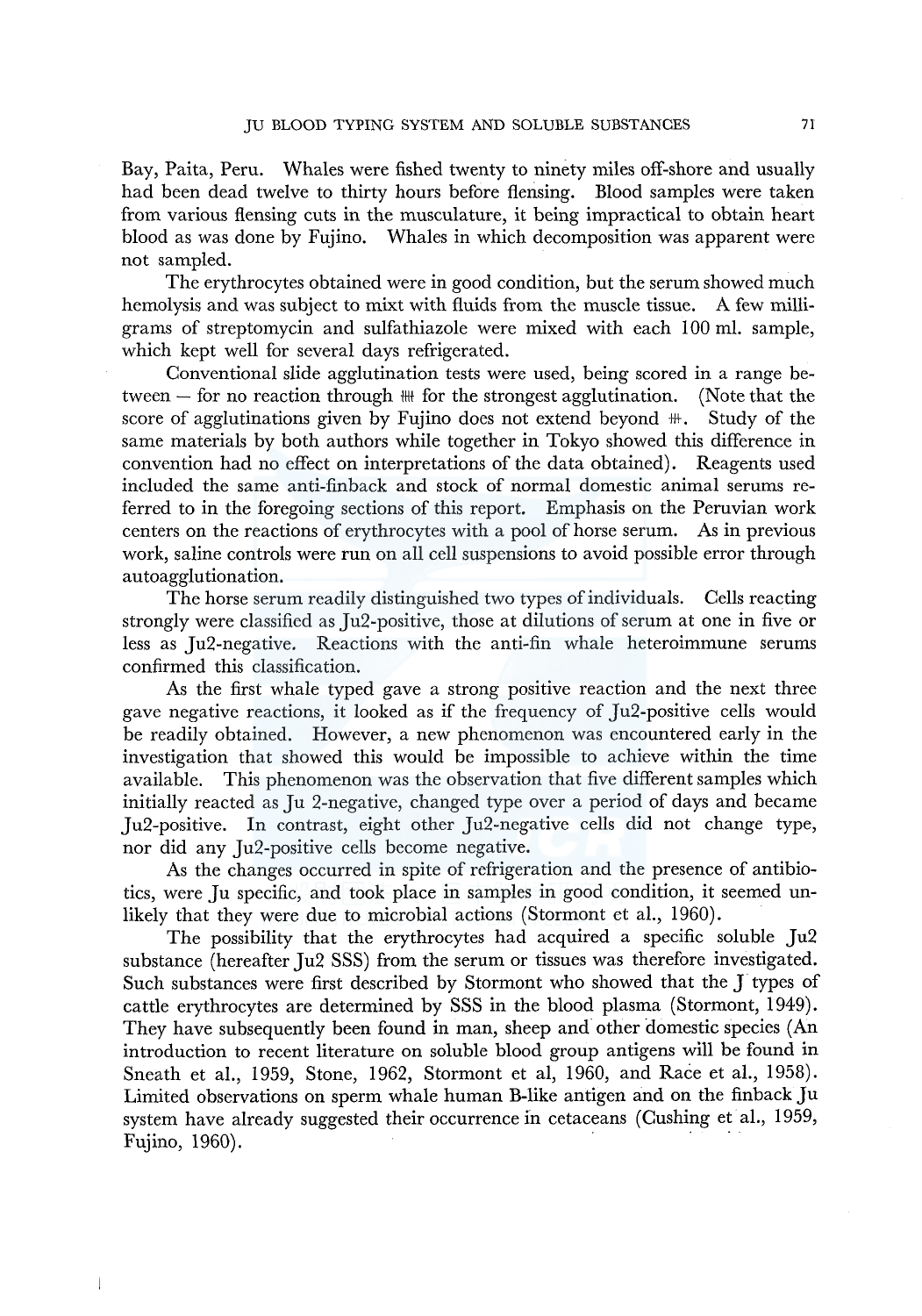Bay, Paita, Peru. Whales were fished twenty to ninety miles off-shore and usually had been dead twelve to thirty hours before flensing. Blood samples were taken from various flensing cuts in the musculature, it being impractical to obtain heart blood as was done by Fujino. Whales in which decomposition was apparent were not sampled.

The erythrocytes obtained were in good condition, but the serum showed much hemolysis and was subject to mixt with fluids from the muscle tissue. A few milligrams of streptomycin and sulfathiazole were mixed with each 100 ml. sample, which kept well for several days refrigerated.

Conventional slide agglutination tests were used, being scored in a range between  $-$  for no reaction through  $\mathbb{H}$  for the strongest agglutination. (Note that the score of agglutinations given by Fujino does not extend beyond  $\mathcal{F}$ . Study of the same materials by both authors while together in Tokyo showed this difference in convention had no effect on interpretations of the data obtained). Reagents used included the same anti-finback and stock of normal domestic animal serums referred to in the foregoing sections of this report. Emphasis on the Peruvian work centers on the reactions of erythrocytes with a pool of horse serum. As in previous work, saline controls were run on all cell suspensions to avoid possible error through autoagglu tionation.

The horse serum readily distinguished two types of individuals. Cells reacting strongly were classified as Ju2-positive, those at dilutions of serum at one in five or less as Ju2-negative. Reactions with the anti-fin whale heteroimmune serums confirmed this classification.

As the first whale typed gave a strong positive reaction and the next three gave negative reactions, it looked as if the frequency of Ju2-positive cells would be readily obtained. However, a new phenomenon was encountered early in the investigation that showed this would be impossible to achieve within the time available. This phenomenon was the observation that five different samples which initially reacted as Ju 2-negative, changed type over a period of days and became Ju2-positive. In contrast, eight other Ju2-negative cells did not change type, nor did any Ju2-positive cells become negative.

As the changes occurred in spite of refrigeration and the presence of antibiotics, were Ju specific, and took place in samples in good condition, it seemed unlikely that they were due to microbial actions (Stormont et al., 1960).

The possibility that the erythrocytes had acquired a specific soluble Ju2 substance (hereafter Ju2 SSS) from the serum or tissues was therefore investigated. Such substances were first described by Stormont who showed that the J types of cattle erythrocytes are determined by SSS in the blood plasma (Stormont, 1949). They have subsequently been found in man, sheep and other domestic species (An introduction to recent literature on soluble blood group antigens will be found in Sneath et al., 1959, Stone, 1962, Stormont et al, 1960, and Race et al., 1958). Limited observations on sperm whale human B-like antigen and on the finback Ju system have already suggested their occurrence in cetaceans (Cushing et al., 1959, Fujino, 1960).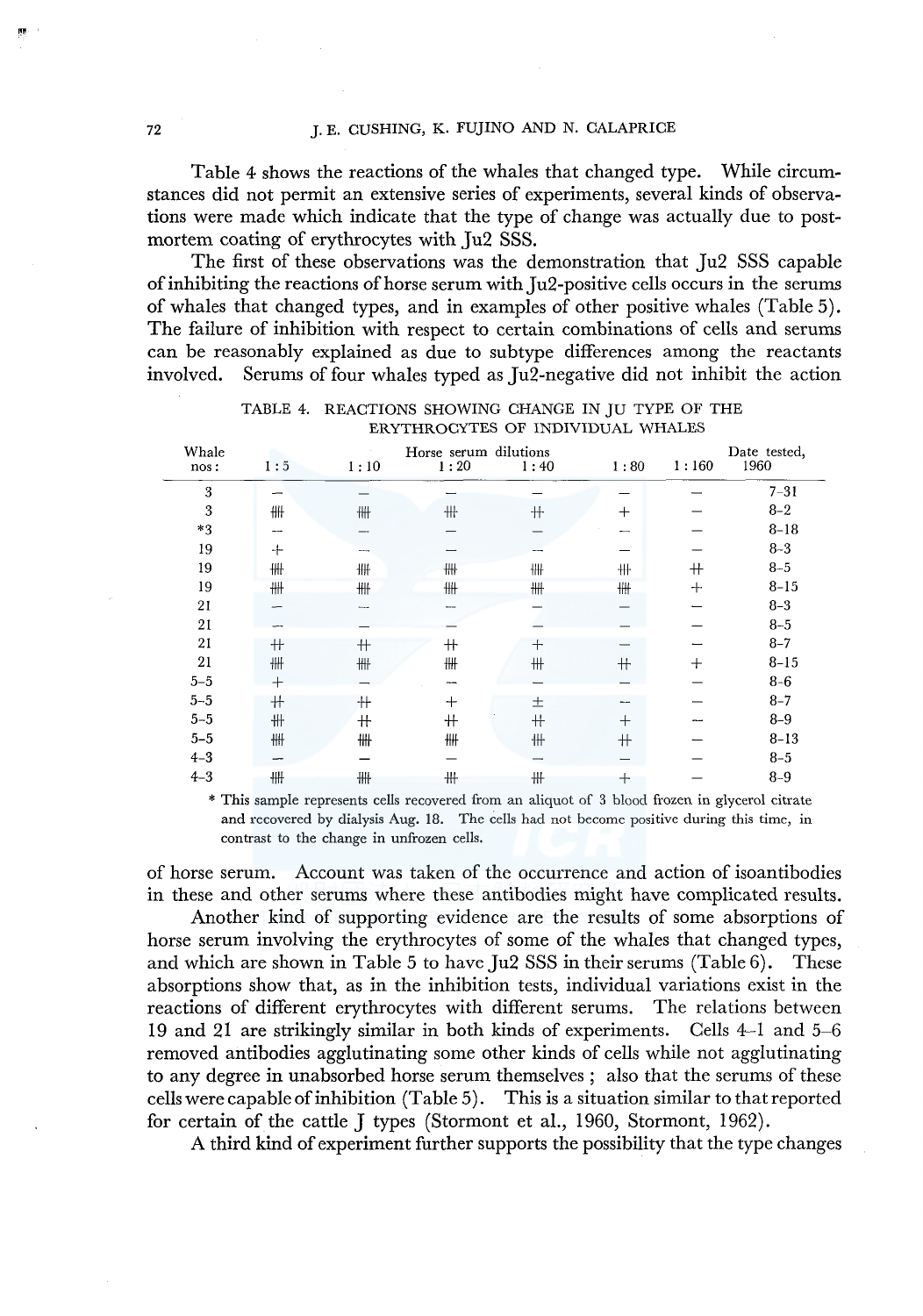Table 4 shows the reactions of the whales that changed type. While circumstances did not permit an extensive series of experiments, several kinds of observations were made which indicate that the type of change was actually due to postmortem coating of erythrocytes with Ju2 SSS.

The first of these observations was the demonstration that Ju2 SSS capable of inhibiting the reactions of horse serum with Ju2-positive cells occurs in the serums of whales that changed types, and in examples of other positive whales (Table 5). The failure of inhibition with respect to certain combinations of cells and serums can be reasonably explained as due to subtype differences among the reactants involved. Serums of four whales typed as Ju2-negative did not inhibit the action

| Whale<br>nos:    | 1:5    | 1:10            | Horse serum dilutions<br>1:20 | 1:40    | 1:80   | 1:160  | Date tested,<br>1960 |
|------------------|--------|-----------------|-------------------------------|---------|--------|--------|----------------------|
| $\boldsymbol{3}$ |        |                 |                               |         |        |        | $7 - 31$             |
| 3                | 卌      | 卌               | ₩                             | 卄       | $+$    |        | $8 - 2$              |
| $*3$             |        |                 |                               |         | --     |        | $8 - 18$             |
| 19               | ⊹      | <b>Marine</b>   |                               | ---     |        |        | $8 - 3$              |
| 19               | ₩      | ₩               | ₩                             | 卌       | ╫      | $^+$   | $8 - 5$              |
| 19               | 卌      | 卌               | 卌                             | ₩       | ₩      | $+$    | $8 - 15$             |
| 21               |        | <b>Service</b>  |                               |         |        |        | $8 - 3$              |
| 21               |        |                 |                               |         |        |        | $8 - 5$              |
| 21               | $^+$   | $+$             | $+$                           | $^{+}$  |        |        | $8 - 7$              |
| 21               | ₩      | ₩               | ₩                             | $\!+\!$ | $+$    | $^{+}$ | $8 - 15$             |
| $5 - 5$          | $^{+}$ |                 |                               |         |        |        | $8 - 6$              |
| $5 - 5$          | $+$    | ╫               | $^{+}$                        | 土       | --     |        | $8 - 7$              |
| $5 - 5$          | ╫      | $^{\mathrm{+}}$ | $+$                           | $+$     | $^{+}$ |        | $8 - 9$              |
| $5 - 5$          | ₩      | ₩               | ₩                             | ╫       | $+$    |        | $8 - 13$             |
| $4 - 3$          |        |                 |                               |         |        |        | $8 - 5$              |
| $4 - 3$          | ₩      | ₩               | #                             | ₩       | $\pm$  |        | $8 - 9$              |

| TABLE 4. REACTIONS SHOWING CHANGE IN JU TYPE OF THE |  |
|-----------------------------------------------------|--|
| ERYTHROCYTES OF INDIVIDUAL WHALES                   |  |

\* This sample represents cells recovered from an aliquot of 3 blood frozen in glycerol citrate and recovered by dialysis Aug. 18. The cells had not become positive during this time, in contrast to the change in unfrozen cells.

of horse serum. Account was taken of the occurrence and action of isoantibodies in these and other serums where these antibodies might have complicated results.

Another kind of supporting evidence are the results of some absorptions of horse serum involving the erythrocytes of some of the whales that changed types, and which are shown in Table 5 to have  $\text{Iu2 SSS}$  in their serums (Table 6). These absorptions show that, as in the inhibition tests, individual variations exist in the reactions of different erythrocytes with different serums. The relations between 19 and 21 are strikingly similar in both kinds of experiments. Cells 4-1 and 5-6 removed antibodies agglutinating some other kinds of cells while not agglutinating to any degree in unabsorbed horse serum themselves ; also that the serums of these cells were capable of inhibition (Table 5). This is a situation similar to that reported for certain of the cattle J types (Stormont et al., 1960, Stormont, 1962).

A third kind of experiment further supports the possibility that the type changes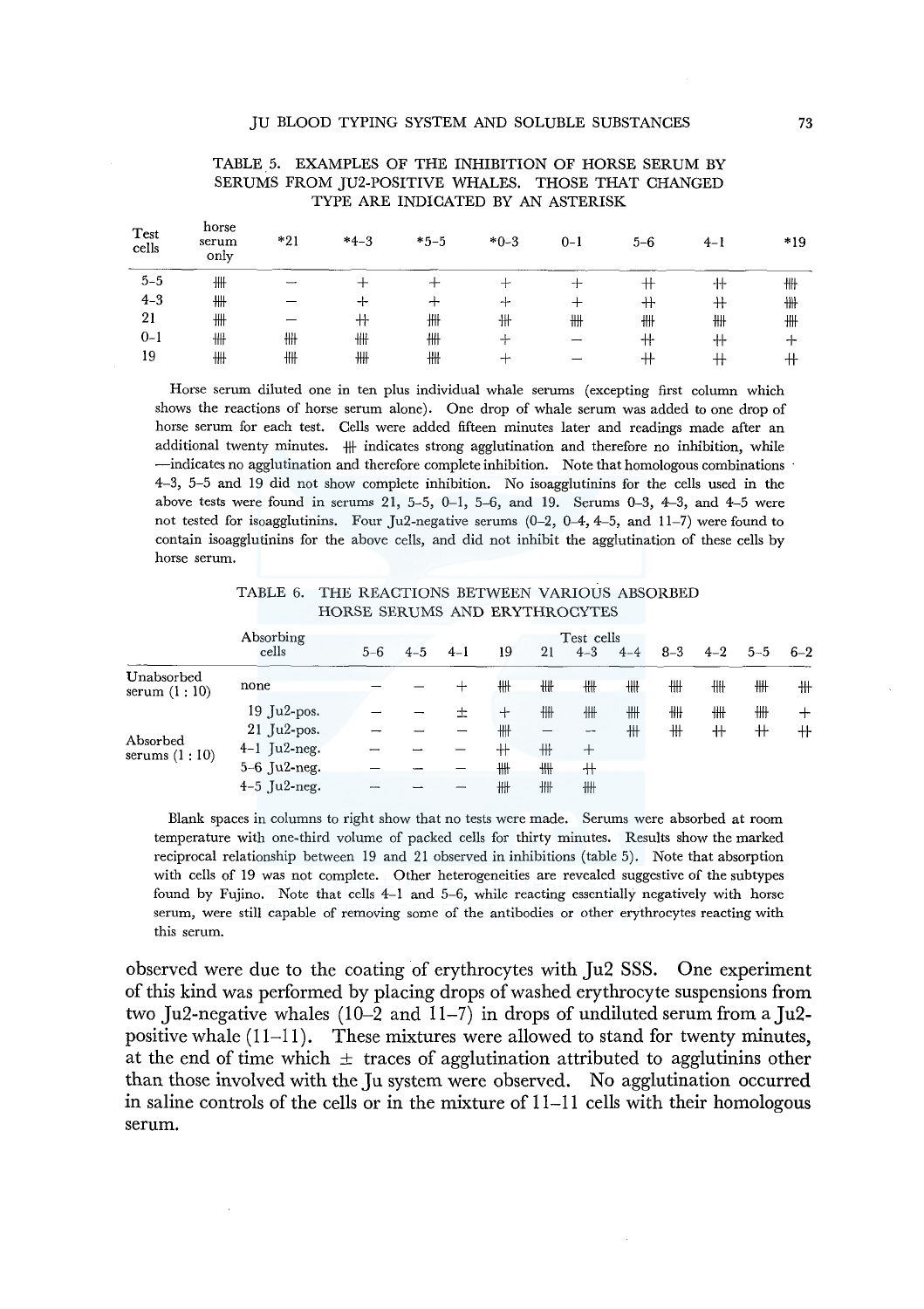| Test<br>cells | horse<br>serum<br>only | *21 | $*4-3$ | $*5-5$                                                                                    | $*0-3$ | $0 - 1$ | $5-6$ | $4-1$ | $*19$ |
|---------------|------------------------|-----|--------|-------------------------------------------------------------------------------------------|--------|---------|-------|-------|-------|
| $5 - 5$       | ╫╫                     |     |        |                                                                                           |        | ┿       | $^+$  | $^+$  | ╫╫    |
| $4 - 3$       | ╫╫                     |     | -⊦     | ∸                                                                                         | -1-    |         | $+$   | $^+$  | ₩     |
| 21            | ₩                      |     | ╫      | ₩                                                                                         | ╫      | ╫╫      | ╫╫    | ╫╫    | ₩     |
| $0 - 1$       | ╫╫                     | ╫╫  | ₩      | ₩                                                                                         |        |         | ╫     | ╫     | ᆠ     |
| 19            | ₩                      | ╫╫  | #      | ₩                                                                                         | ∸      |         | $^+$  | ╈     | $^+$  |
|               |                        |     |        | Horse serum diluted one in ten plus individual whale serums (excepting first column which |        |         |       |       |       |

### TABLE 5. EXAMPLES OF THE INHIBITION OF HORSE SERUM BY SERUMS FROM JU2-POSITIVE WHALES. THOSE THAT CHANGED TYPE ARE INDICATED BY AN ASTERISK

shows the reactions of horse serum alone). One drop of whale serum was added to one drop of horse serum for each test. Cells were added fifteen minutes later and readings made after an additional twenty minutes.  $\#$  indicates strong agglutination and therefore no inhibition, while -indicates no agglutination and therefore complete inhibition. Note that homologous combinations 4-3, 5-5 and 19 did not show complete inhibition. No isoagglutinins for the cells used in the above tests were found in serums  $21, 5-5, 0-1, 5-6,$  and 19. Serums  $0-3, 4-3,$  and  $4-5$  were not tested for isoagglutinins. Four Ju2-negative serums  $(0-2, 0-4, 4-5,$  and  $11-7)$  were found to contain isoagglutinins for the above cells, and did not inhibit the agglutination of these cells by horse serum.

TABLE 6. THE REACTIONS BETWEEN VARIOUS ABSORBED HORSE SERUMS AND ERYTHROCYTES

|                              | Absorbing      | Test cells |         |         |        |    |         |         |         |         |         |         |
|------------------------------|----------------|------------|---------|---------|--------|----|---------|---------|---------|---------|---------|---------|
|                              | cells          | $5 - 6$    | $4 - 5$ | $4 - 1$ | 19     | 21 | $4 - 3$ | $4 - 4$ | $8 - 3$ | $4 - 2$ | $5 - 5$ | $6 - 2$ |
| Unabsorbed<br>serum $(1:10)$ | none           |            |         | ┿       | ₩      | ₩  | ₩       | ₩       | ₩       | ╫╫      | ╫╫      | ╫       |
|                              | $19$ Ju2-pos.  |            |         | 土       | $\div$ | 卌  | ╫╫      | ₩       | ╫╫      | ₩       | ₩       | ┿       |
|                              | $21$ Ju2-pos.  |            |         |         | ₩      |    | --      | 卅       | ╫       | $^+$    | $^+$    | $^+$    |
| Absorbed<br>serums $(1:10)$  | $4-1$ Ju2-neg. |            |         |         | $^+$   | ╫  | $\pm$   |         |         |         |         |         |
|                              | $5-6$ Ju2-neg. |            |         |         | ₩      | ₩  | ╫       |         |         |         |         |         |
|                              | $4-5$ Ju2-neg. |            |         |         | ₩      | ₩  | ╫╫      |         |         |         |         |         |

Blank spaces in columns to right show that no tests were made. Serums were absorbed at room temperature with one-third volume of packed cells for thirty minutes. Results show the marked reciprocal relationship between 19 and 21 observed in inhibitions (table 5). Note that absorption with cells of 19 was not complete. Other heterogeneities are revealed suggestive of the subtypes found by Fujino. Note that cells 4-1 and 5-6, while reacting essentially negatively with horse serum, were still capable of removing some of the antibodies or other erythrocytes reacting with this serum.

observed were due to the coating of erythrocytes with Ju2 SSS. One experiment of this kind was performed by placing drops of washed erythrocyte suspensions from two Ju2-negative whales  $(10-2$  and  $11-7$ ) in drops of undiluted serum from a Ju2positive whale  $(11-11)$ . These mixtures were allowed to stand for twenty minutes, at the end of time which  $\pm$  traces of agglutination attributed to agglutinins other than those involved with the Ju system were observed. No agglutination occurred in saline controls of the cells or in the mixture of 11-11 cells with their homologous serum.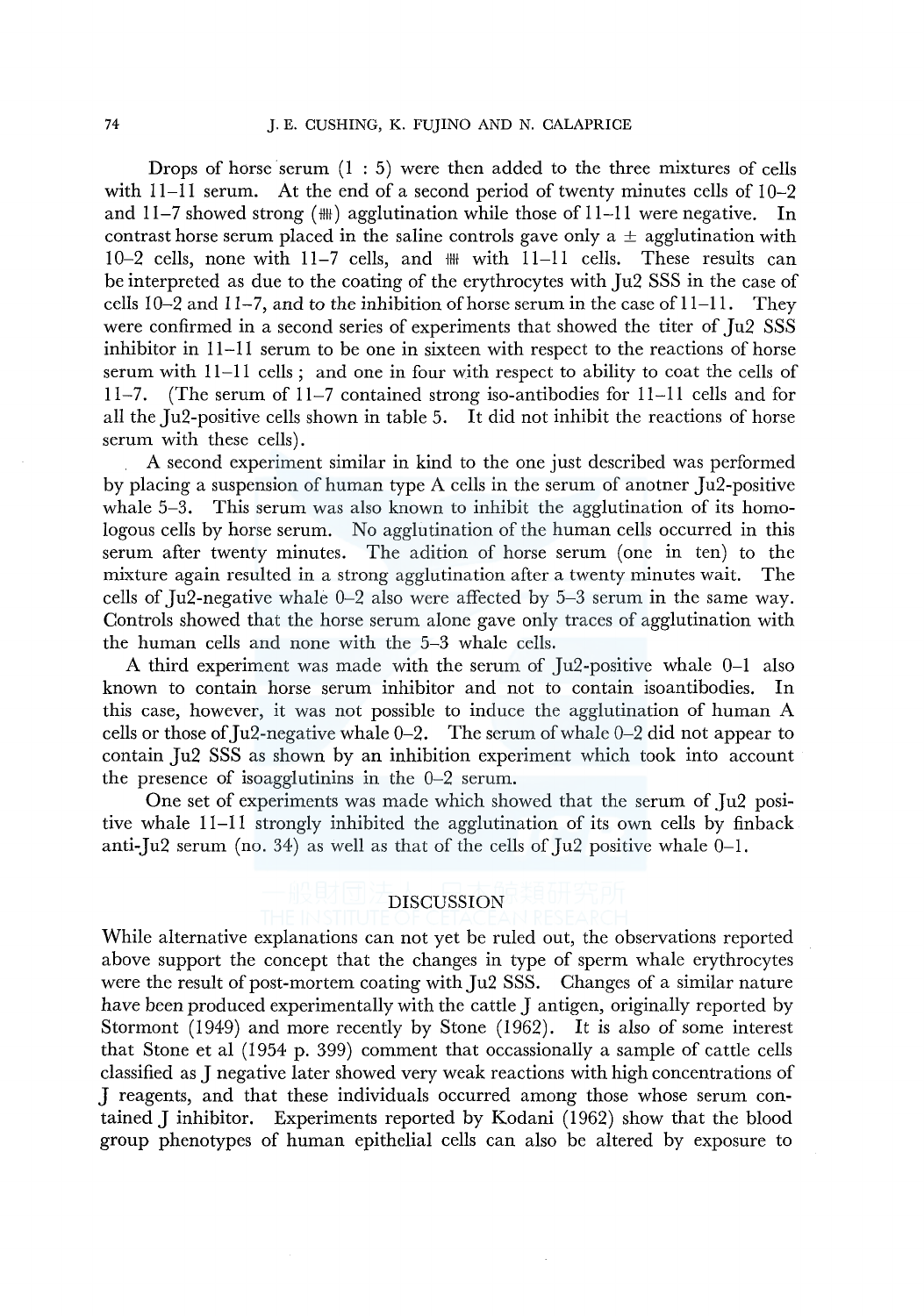Drops of horse serum  $(1:5)$  were then added to the three mixtures of cells with 11-11 serum. At the end of a second period of twenty minutes cells of 10-2 and 11-7 showed strong  $(H)$  agglutination while those of 11-11 were negative. In contrast horse serum placed in the saline controls gave only a  $\pm$  agglutination with  $10-2$  cells, none with  $11-7$  cells, and  $\mathbb{H}$  with  $11-11$  cells. These results can be interpreted as due to the coating of the erythrocytes with Ju2 SSS in the case of cells  $10-2$  and  $11-7$ , and to the inhibition of horse serum in the case of  $11-11$ . They were confirmed in a second series of experiments that showed the titer of Ju2 SSS inhibitor in 11-11 serum to be one in sixteen with respect to the reactions of horse serum with 11-11 cells; and one in four with respect to ability to coat the cells of 11-7. (The serum of 11-7 contained strong iso-antibodies for 11-11 cells and for all the Ju2-positive cells shown in table 5. It did not inhibit the reactions of horse serum with these cells).

A second experiment similar in kind to the one just described was performed by placing a suspension of human type A cells in the serum of anotner Ju2-positive whale 5-3. This serum was also known to inhibit the agglutination of its homologous cells by horse serum. No agglutination of the human cells occurred in this serum after twenty minutes. The adition of horse serum (one in ten) to the mixture again resulted in a strong agglutination after a twenty minutes wait. The cells of Ju2-negative whale 0-2 also were affected by 5-3 serum in the same way. Controls showed that the horse serum alone gave only traces of agglutination with the human cells and none with the 5-3 whale cells.

A third experiment was made with the serum of Ju2-positive whale 0-1 also known to contain horse serum inhibitor and not to contain isoantibodies. In this case, however, it was not possible to induce the agglutination of human A cells or those of Ju2-negative whale  $0-2$ . The serum of whale  $0-2$  did not appear to contain Ju2 SSS as shown by an inhibition experiment which took into account the presence of isoagglutinins in the 0-2 serum.

One set of experiments was made which showed that the serum of Ju2 positive whale II-II strongly inhibited the agglutination of its own cells by finback anti-Ju2 serum (no. 34) as well as that of the cells of Ju2 positive whale  $0-1$ .

# DISCUSSION

While alternative explanations can not yet be ruled out, the observations reported above support the concept that the changes in type of sperm whale erythrocytes were the result of post-mortem coating with Ju2 SSS. Changes of a similar nature have been produced experimentally with the cattle J antigen, originally reported by Stormont (1949) and more recently by Stone (1962). It is also of some interest that Stone et al (1954 p. 399) comment that occassionally a sample of cattle cells classified as J negative later showed very weak reactions with high concentrations of J reagents, and that these individuals occurred among those whose serum contained J inhibitor. Experiments reported by Kodani (1962) show that the blood group phenotypes of human epithelial cells can also be altered by exposure to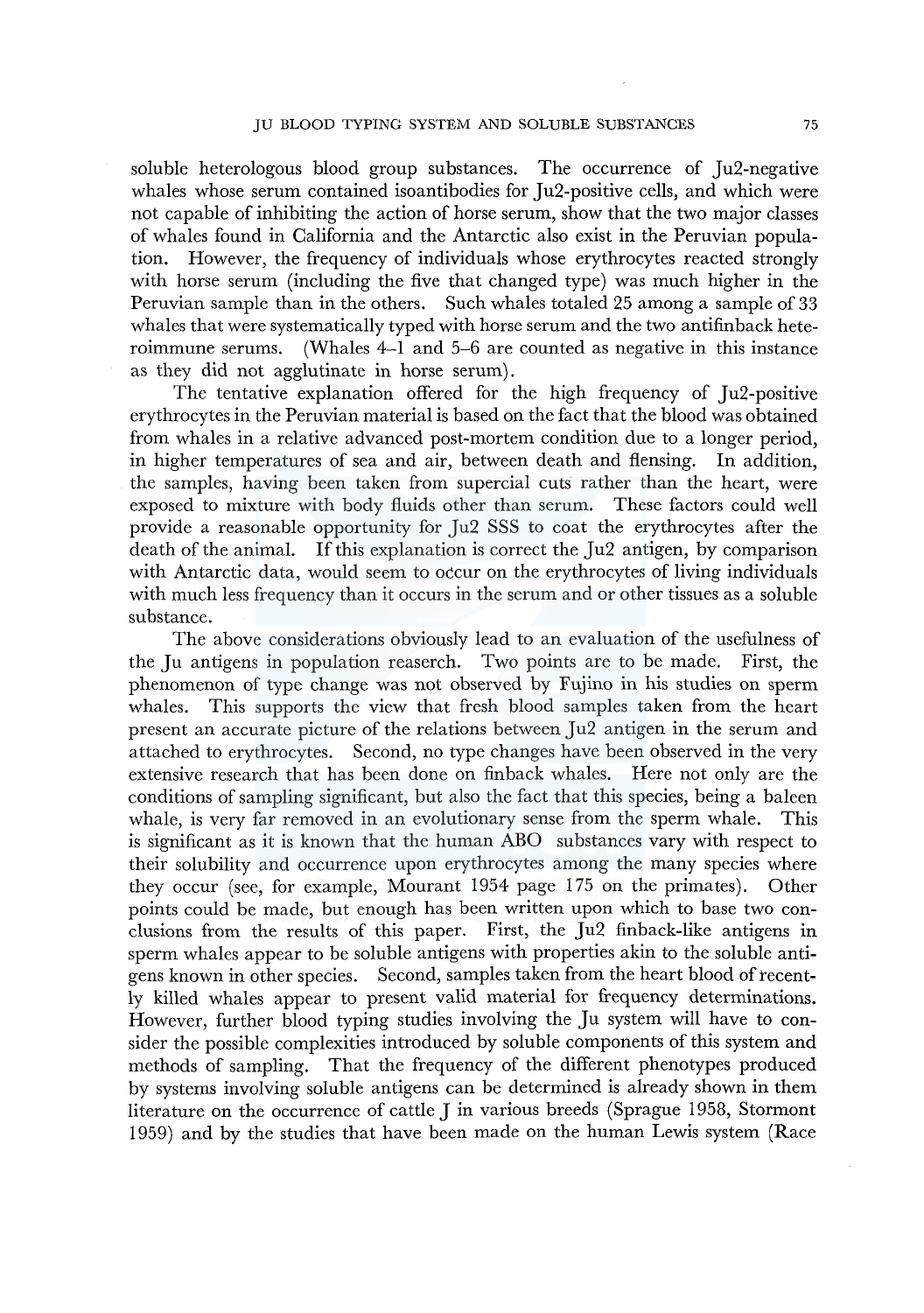soluble heterologous blood group substances. The occurrence of Ju2-negative whales whose serum contained isoantibodies for Ju2-positive cells, and which were not capable of inhibiting the action of horse serum, show that the two major classes of whales found in California and the Antarctic also exist in the Peruvian population. However, the frequency of individuals whose erythrocytes reacted strongly with horse serum (including the five that changed type) was much higher in the Peruvian sample than in the others. Such whales totaled 25 among a sample of 33 whales that were systematically typed with horse serum and the two antifinback heteroimmune serums. (Whales 4-1 and 5-6 are counted as negative in this instance as they did not agglutinate in horse serum).

The tentative explanation offered for the high frequency of Ju2-positive erythrocytes in the Peruvian material is based on the fact that the blood was obtained from whales in a relative advanced post-mortem condition due to a longer period, in higher temperatures of sea and air, between death and flensing. In addition, the samples, having been taken from supercial cuts rather than the heart, were exposed to mixture with body fluids other than serum. These factors could well provide a reasonable opportunity for Ju2 SSS to coat the erythrocytes after the death of the animal. If this explanation is correct the Ju2 antigen, by comparison with Antarctic data, would seem to occur on the erythrocytes of living individuals with much less frequency than it occurs in the serum and or other tissues as a soluble substance.

The above considerations obviously lead to an evaluation of the usefulness of the Ju antigens in population reaserch. Two points are to be made. First, the phenomenon of type change was not observed by Fujino in his studies on sperm whales. This supports the view that fresh blood samples taken from the heart present an accurate picture of the relations between Ju2 antigen in the serum and attached to erythrocytes. Second, no type changes have been observed in the very extensive research that has been done on finback whales. Here not only are the conditions of sampling significant, but also the fact that this species, being a baleen whale, is very far removed in an evolutionary sense from the sperm whale. This is significant as it is known that the human ABO substances vary with respect to their solubility and occurrence upon erythrocytes among the many species where they occur (see, for example, Mourant 1954 page 175 on the primates). Other points could be made, but enough has been written upon which to base two conclusions from the results of this paper. First, the Ju2 finback-like antigens in sperm whales appear to be soluble antigens with properties akin to the soluble antigens known in other species. Second, samples taken from the heart blood of tecently killed whales appear to present valid material for frequency determinations. However, further blood typing studies involving the Ju system will have to consider the possible complexities introduced by soluble components of this system and methods of sampling. That the frequency of the different phenotypes produced by systems involving soluble antigens can be determined is already shown in them literature on the occurrence of cattle J in various breeds (Sprague 1958, Stormont 1959) and by the studies that have been made on the human Lewis system (Race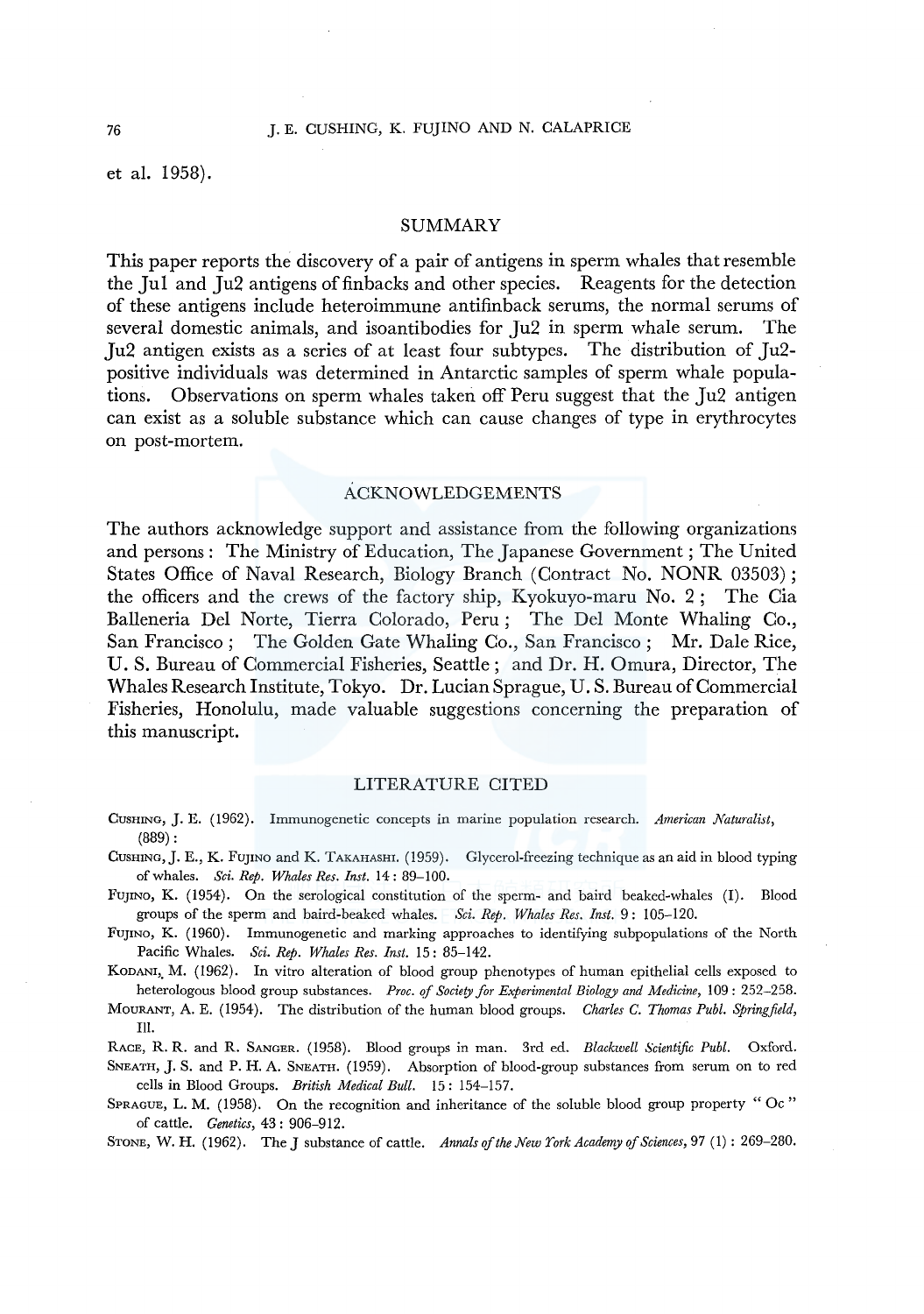et al. 1958).

#### SUMMARY

This paper reports the discovery of a pair of antigens in sperm whales that resemble the Jul and Ju2 antigens of finbacks and other species. Reagents for the detection of these antigens include heteroimmune antifinback serums, the normal serums of several domestic animals, and isoantibodies for Ju2 in sperm whale serum. The Ju2 antigen exists as a series of at least four subtypes. The distribution of Ju2 positive individuals was determined in Antarctic samples of sperm whale populations. Observations on sperm whales taken off Peru suggest that the Ju2 antigen can exist as a soluble substance which can cause changes of type in erythrocytes on post-mortem.

### ACKNOWLEDGEMENTS

The authors acknowledge support and assistance from the following organizations and persons: The Ministry of Education, The Japanese Government; The United States Office of Naval Research, Biology Branch (Contract No. NONR 03503); the officers and the crews of the factory ship, Kyokuyo-maru No. 2; The Cia Balleneria Del Norte, Tierra Colorado, Peru; The Del Monte Whaling Co., San Francisco; The Golden Gate Whaling Co., San Francisco; Mr. Dale Rice, U.S. Bureau of Commercial Fisheries, Seattle; and Dr. H. Omura, Director, The Whales Research Institute, Tokyo. Dr. Lucian Sprague, U. S. Bureau of Commercial Fisheries, Honolulu, made valuable suggestions concerning the preparation of this manuscript.

#### LITERATURE CITED

- CUSHING, J.E. (1962). Immunogenetic concepts in marine population research. *American Naturalist,*  (889):
- CUSHING, J.E., K. FUJINO and K. TAKAHASHI. (1959). Glycerol-freezing technique as an aid in blood typing of whales. *Sci. Rep. Whales Res. Inst.* 14: 89-100.
- FUJINO, K. (1954). On the serological constitution of the sperm- and baird beaked-whales (I). Blood groups of the sperm and baird-beaked whales. *Sci. Rep. Whales Res. Inst.* 9: 105-120.
- FUJINO, K. (1960). Immunogenetic and marking approaches to identifying subpopulations of the North Pacific Whales. *Sci. Rep. Whales Res. Inst.* 15: 85-142.
- KODANI,, M. (1962). In vitro alteration of blood group phenotypes of human epithelial cells exposed to heterologous blood group substances. *Proc. qf Society for Experimental Biology and Medicine,* 109 : 252-258.
- MouRANT, A. E. (1954). The distribution of the human blood groups. *Charles C. Thomas Publ. Springfield,*  Ill.
- RACE, R.R. and R. SANGER. (1958). Blood groups in man. 3rd ed. *Blackwell Scientific Publ.* Oxford.

SNEATH, J. S. and P.H. A. SNEATH. (1959). Absorption of blood-group substances from serum on to red cells in Blood Groups. *British Medical Bull.* 15: 154-157.

SPRAGUE, L. M. (1958). On the recognition and inheritance of the soluble blood group property "Oc" of cattle. *Genetics,* 43: 906-912.

STONE, W. H. (1962). The J substance of cattle. *Annals of the New York Academy of Sciences,* 97 (I) : 269-280.